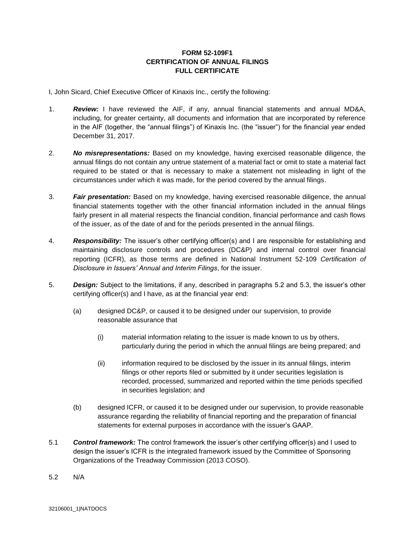## **FORM 52-109F1 CERTIFICATION OF ANNUAL FILINGS FULL CERTIFICATE**

I, John Sicard, Chief Executive Officer of Kinaxis Inc., certify the following:

- 1. *Review:* I have reviewed the AIF, if any, annual financial statements and annual MD&A, including, for greater certainty, all documents and information that are incorporated by reference in the AIF (together, the "annual filings") of Kinaxis Inc. (the "issuer") for the financial year ended December 31, 2017.
- 2. *No misrepresentations:* Based on my knowledge, having exercised reasonable diligence, the annual filings do not contain any untrue statement of a material fact or omit to state a material fact required to be stated or that is necessary to make a statement not misleading in light of the circumstances under which it was made, for the period covered by the annual filings.
- 3. *Fair presentation:* Based on my knowledge, having exercised reasonable diligence, the annual financial statements together with the other financial information included in the annual filings fairly present in all material respects the financial condition, financial performance and cash flows of the issuer, as of the date of and for the periods presented in the annual filings.
- 4. *Responsibility:* The issuer's other certifying officer(s) and I are responsible for establishing and maintaining disclosure controls and procedures (DC&P) and internal control over financial reporting (ICFR), as those terms are defined in National Instrument 52-109 *Certification of Disclosure in Issuers' Annual and Interim Filings*, for the issuer.
- 5. *Design:* Subject to the limitations, if any, described in paragraphs 5.2 and 5.3, the issuer's other certifying officer(s) and I have, as at the financial year end:
	- (a) designed DC&P, or caused it to be designed under our supervision, to provide reasonable assurance that
		- (i) material information relating to the issuer is made known to us by others, particularly during the period in which the annual filings are being prepared; and
		- (ii) information required to be disclosed by the issuer in its annual filings, interim filings or other reports filed or submitted by it under securities legislation is recorded, processed, summarized and reported within the time periods specified in securities legislation; and
	- (b) designed ICFR, or caused it to be designed under our supervision, to provide reasonable assurance regarding the reliability of financial reporting and the preparation of financial statements for external purposes in accordance with the issuer's GAAP.
- 5.1 *Control framework:* The control framework the issuer's other certifying officer(s) and I used to design the issuer's ICFR is the integrated framework issued by the Committee of Sponsoring Organizations of the Treadway Commission (2013 COSO).
- 5.2 N/A